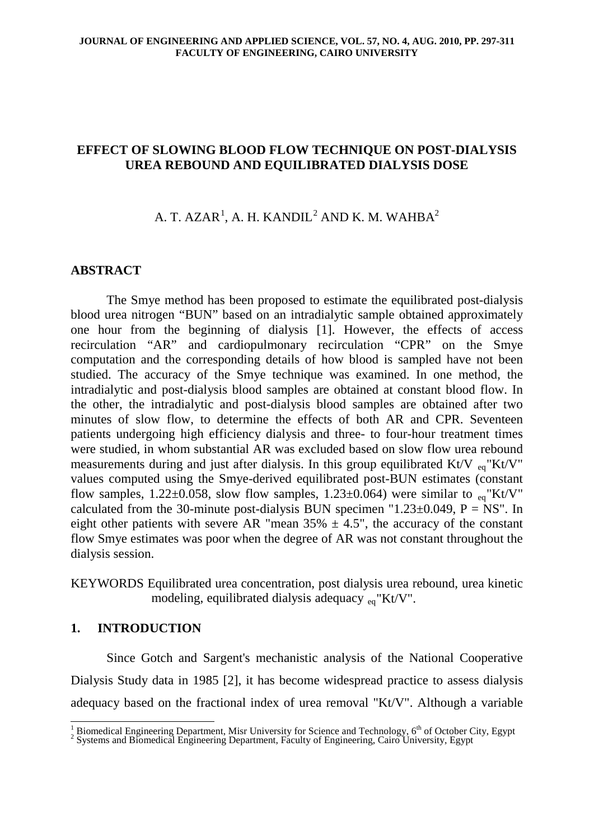# **EFFECT OF SLOWING BLOOD FLOW TECHNIQUE ON POST-DIALYSIS UREA REBOUND AND EQUILIBRATED DIALYSIS DOSE**

# A. T. AZAR $^1$  $^1$ , A. H. KANDIL $^2$  $^2$  AND K. M. WAHBA $^2$

# **ABSTRACT**

The Smye method has been proposed to estimate the equilibrated post-dialysis blood urea nitrogen "BUN" based on an intradialytic sample obtained approximately one hour from the beginning of dialysis [1]. However, the effects of access recirculation "AR" and cardiopulmonary recirculation "CPR" on the Smye computation and the corresponding details of how blood is sampled have not been studied. The accuracy of the Smye technique was examined. In one method, the intradialytic and post-dialysis blood samples are obtained at constant blood flow. In the other, the intradialytic and post-dialysis blood samples are obtained after two minutes of slow flow, to determine the effects of both AR and CPR. Seventeen patients undergoing high efficiency dialysis and three- to four-hour treatment times were studied, in whom substantial AR was excluded based on slow flow urea rebound measurements during and just after dialysis. In this group equilibrated Kt/V  $_{eq}$ "Kt/V" values computed using the Smye-derived equilibrated post-BUN estimates (constant flow samples,  $1.22 \pm 0.058$ , slow flow samples,  $1.23 \pm 0.064$ ) were similar to  $_{eq}$ "Kt/V" calculated from the 30-minute post-dialysis BUN specimen "1.23 $\pm$ 0.049, P = NS". In eight other patients with severe AR "mean  $35\% \pm 4.5$ ", the accuracy of the constant flow Smye estimates was poor when the degree of AR was not constant throughout the dialysis session.

KEYWORDS Equilibrated urea concentration, post dialysis urea rebound, urea kinetic modeling, equilibrated dialysis adequacy  $_{eq}$ "Kt/V".

# **1. INTRODUCTION**

Since Gotch and Sargent's mechanistic analysis of the National Cooperative Dialysis Study data in 1985 [2], it has become widespread practice to assess dialysis adequacy based on the fractional index of urea removal "Kt/V". Although a variable

<span id="page-0-0"></span><sup>&</sup>lt;sup>1</sup> Biomedical Engineering Department, Misr University for Science and Technology,  $6<sup>th</sup>$  of October City, Egypt  $2$  Systems and Biomedical Engineering Department, Faculty of Engineering, Cairo University, Egypt

<span id="page-0-1"></span>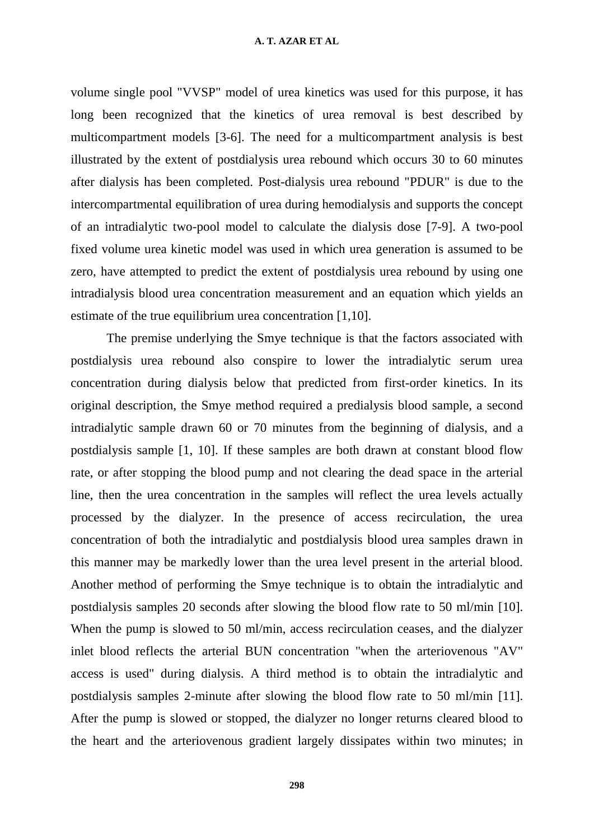### **A. T. AZAR ET AL**

volume single pool "VVSP" model of urea kinetics was used for this purpose, it has long been recognized that the kinetics of urea removal is best described by multicompartment models [3-6]. The need for a multicompartment analysis is best illustrated by the extent of postdialysis urea rebound which occurs 30 to 60 minutes after dialysis has been completed. Post-dialysis urea rebound "PDUR" is due to the intercompartmental equilibration of urea during hemodialysis and supports the concept of an intradialytic two-pool model to calculate the dialysis dose [7-9]. A two-pool fixed volume urea kinetic model was used in which urea generation is assumed to be zero, have attempted to predict the extent of postdialysis urea rebound by using one intradialysis blood urea concentration measurement and an equation which yields an estimate of the true equilibrium urea concentration [1,10].

The premise underlying the Smye technique is that the factors associated with postdialysis urea rebound also conspire to lower the intradialytic serum urea concentration during dialysis below that predicted from first-order kinetics. In its original description, the Smye method required a predialysis blood sample, a second intradialytic sample drawn 60 or 70 minutes from the beginning of dialysis, and a postdialysis sample [1, 10]. If these samples are both drawn at constant blood flow rate, or after stopping the blood pump and not clearing the dead space in the arterial line, then the urea concentration in the samples will reflect the urea levels actually processed by the dialyzer. In the presence of access recirculation, the urea concentration of both the intradialytic and postdialysis blood urea samples drawn in this manner may be markedly lower than the urea level present in the arterial blood. Another method of performing the Smye technique is to obtain the intradialytic and postdialysis samples 20 seconds after slowing the blood flow rate to 50 ml/min [10]. When the pump is slowed to 50 ml/min, access recirculation ceases, and the dialyzer inlet blood reflects the arterial BUN concentration "when the arteriovenous "AV" access is used" during dialysis. A third method is to obtain the intradialytic and postdialysis samples 2-minute after slowing the blood flow rate to 50 ml/min [11]. After the pump is slowed or stopped, the dialyzer no longer returns cleared blood to the heart and the arteriovenous gradient largely dissipates within two minutes; in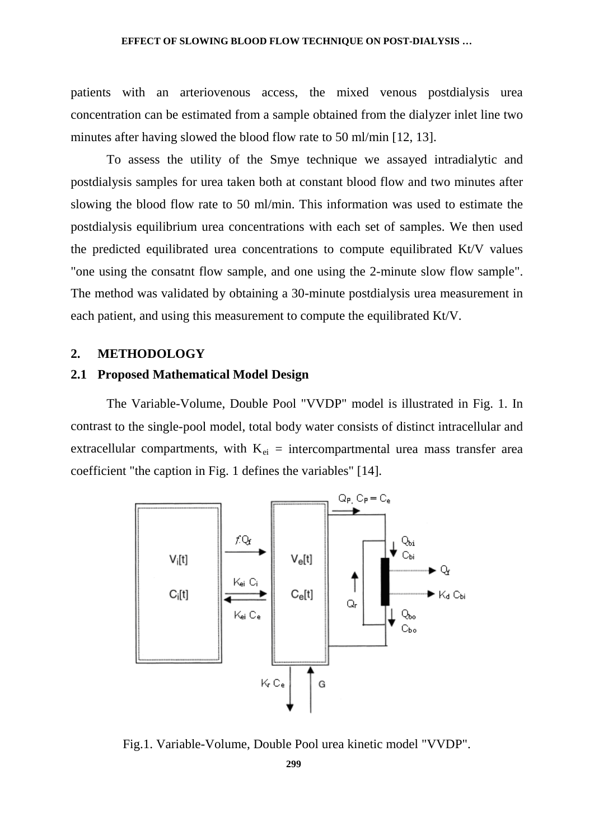patients with an arteriovenous access, the mixed venous postdialysis urea concentration can be estimated from a sample obtained from the dialyzer inlet line two minutes after having slowed the blood flow rate to 50 ml/min [12, 13].

To assess the utility of the Smye technique we assayed intradialytic and postdialysis samples for urea taken both at constant blood flow and two minutes after slowing the blood flow rate to 50 ml/min. This information was used to estimate the postdialysis equilibrium urea concentrations with each set of samples. We then used the predicted equilibrated urea concentrations to compute equilibrated Kt/V values "one using the consatnt flow sample, and one using the 2-minute slow flow sample". The method was validated by obtaining a 30-minute postdialysis urea measurement in each patient, and using this measurement to compute the equilibrated Kt/V.

## **2. METHODOLOGY**

## **2.1 Proposed Mathematical Model Design**

The Variable-Volume, Double Pool "VVDP" model is illustrated in Fig. 1. In contrast to the single-pool model, total body water consists of distinct intracellular and extracellular compartments, with  $K_{ei}$  = intercompartmental urea mass transfer area coefficient "the caption in Fig. 1 defines the variables" [14].



Fig.1. Variable-Volume, Double Pool urea kinetic model "VVDP".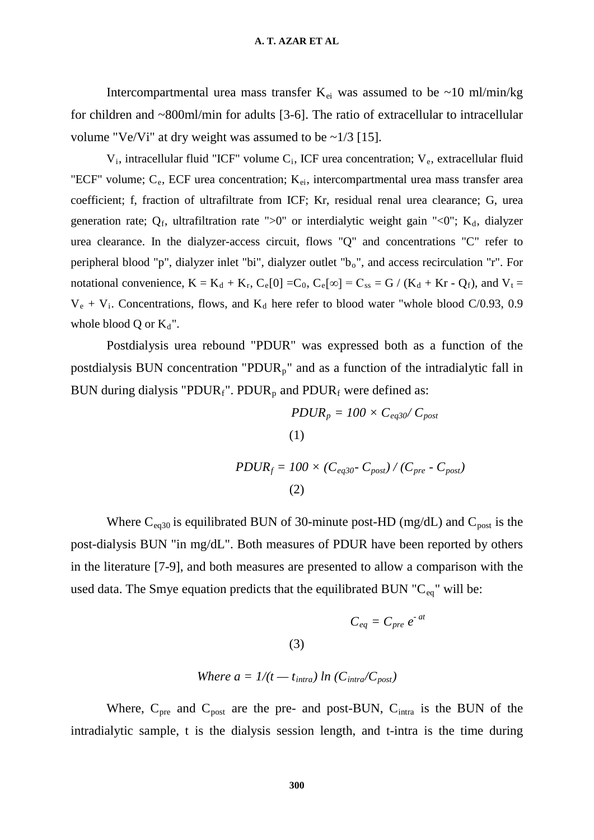Intercompartmental urea mass transfer  $K_{ei}$  was assumed to be ~10 ml/min/kg for children and ~800ml/min for adults [3-6]. The ratio of extracellular to intracellular volume "Ve/Vi" at dry weight was assumed to be  $\sim$ 1/3 [15].

 $V_i$ , intracellular fluid "ICF" volume  $C_i$ , ICF urea concentration;  $V_e$ , extracellular fluid "ECF" volume;  $C_e$ , ECF urea concentration;  $K_{ei}$ , intercompartmental urea mass transfer area coefficient; f, fraction of ultrafiltrate from ICF; Kr, residual renal urea clearance; G, urea generation rate;  $Q_f$ , ultrafiltration rate ">0" or interdialytic weight gain "<0";  $K_d$ , dialyzer urea clearance. In the dialyzer-access circuit, flows "Q" and concentrations "C" refer to peripheral blood "p", dialyzer inlet "bi", dialyzer outlet "b<sub>o</sub>", and access recirculation "r". For notational convenience,  $K = K_d + K_r$ ,  $C_e[0] = C_0$ ,  $C_e[\infty] = C_{ss} = G / (K_d + Kr - Q_f)$ , and  $V_t =$  $V_e + V_i$ . Concentrations, flows, and  $K_d$  here refer to blood water "whole blood C/0.93, 0.9 whole blood Q or  $K_d$ ".

Postdialysis urea rebound "PDUR" was expressed both as a function of the postdialysis BUN concentration "PDUR<sub>p</sub>" and as a function of the intradialytic fall in BUN during dialysis "PDUR<sub>f</sub>". PDUR<sub>p</sub> and PDUR<sub>f</sub> were defined as:

$$
PDUR_p = 100 \times C_{eq30} / C_{post}
$$
  
(1)  

$$
PDUR_f = 100 \times (C_{eq30} - C_{post}) / (C_{pre} - C_{post})
$$
  
(2)

Where  $C_{eq30}$  is equilibrated BUN of 30-minute post-HD (mg/dL) and  $C_{post}$  is the post-dialysis BUN "in mg/dL". Both measures of PDUR have been reported by others in the literature [7-9], and both measures are presented to allow a comparison with the used data. The Smye equation predicts that the equilibrated BUN "C<sub>eq</sub>" will be:

$$
C_{eq} = C_{pre} e^{-at}
$$

Where 
$$
a = 1/(t - t_{intra}) \ln (C_{intra}/C_{post})
$$

(3)

Where,  $C_{pre}$  and  $C_{post}$  are the pre- and post-BUN,  $C_{intra}$  is the BUN of the intradialytic sample, t is the dialysis session length, and t-intra is the time during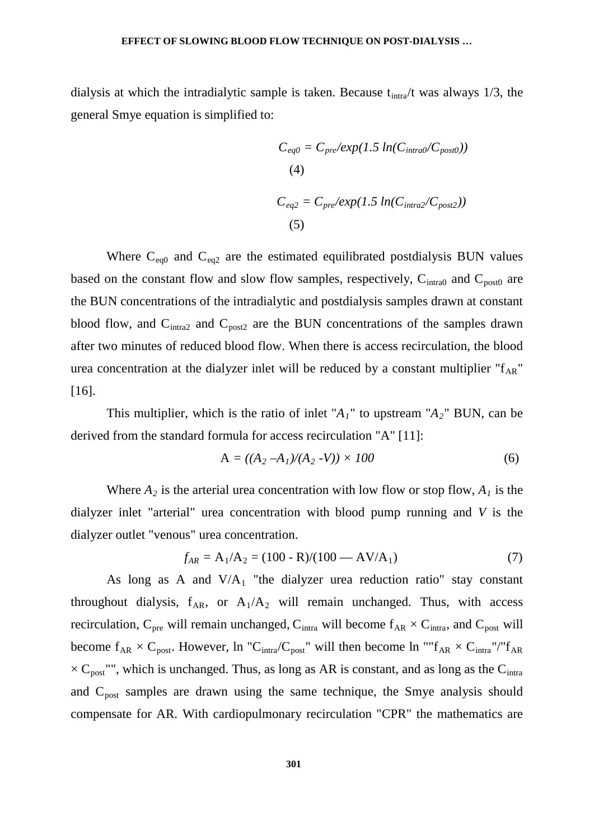dialysis at which the intradialytic sample is taken. Because  $t_{intra}/t$  was always 1/3, the general Smye equation is simplified to:

$$
C_{eq0} = C_{pre}/exp(1.5 \ln(C_{intra0}/C_{post0}))
$$
  
(4)  

$$
C_{eq2} = C_{pre}/exp(1.5 \ln(C_{intra2}/C_{post2}))
$$
  
(5)

Where  $C_{eq0}$  and  $C_{eq2}$  are the estimated equilibrated postdialysis BUN values based on the constant flow and slow flow samples, respectively,  $C<sub>intra0</sub>$  and  $C<sub>post0</sub>$  are the BUN concentrations of the intradialytic and postdialysis samples drawn at constant blood flow, and  $C<sub>intra2</sub>$  and  $C<sub>post2</sub>$  are the BUN concentrations of the samples drawn after two minutes of reduced blood flow. When there is access recirculation, the blood urea concentration at the dialyzer inlet will be reduced by a constant multiplier " $f_{AR}$ " [16].

This multiplier, which is the ratio of inlet " $A_1$ " to upstream " $A_2$ " BUN, can be derived from the standard formula for access recirculation "A" [11]:

$$
A = ((A_2 - A_1)/(A_2 - V)) \times 100 \tag{6}
$$

Where  $A_2$  is the arterial urea concentration with low flow or stop flow,  $A_1$  is the dialyzer inlet "arterial" urea concentration with blood pump running and *V* is the dialyzer outlet "venous" urea concentration.

$$
f_{AR} = A_1/A_2 = (100 - R)/(100 - AV/A_1)
$$
 (7)

As long as A and  $V/A_1$  "the dialyzer urea reduction ratio" stay constant throughout dialysis,  $f_{AR}$ , or  $A_1/A_2$  will remain unchanged. Thus, with access recirculation,  $C_{pre}$  will remain unchanged,  $C_{intra}$  will become  $f_{AR} \times C_{intra}$ , and  $C_{post}$  will become  $f_{AR} \times C_{post}$ . However, ln "C<sub>intra</sub>/C<sub>post</sub>" will then become ln "" $f_{AR} \times C_{intra}$ "/" $f_{AR}$  $\times$  C<sub>post</sub>"", which is unchanged. Thus, as long as AR is constant, and as long as the C<sub>intra</sub> and  $C_{\text{post}}$  samples are drawn using the same technique, the Smye analysis should compensate for AR. With cardiopulmonary recirculation "CPR" the mathematics are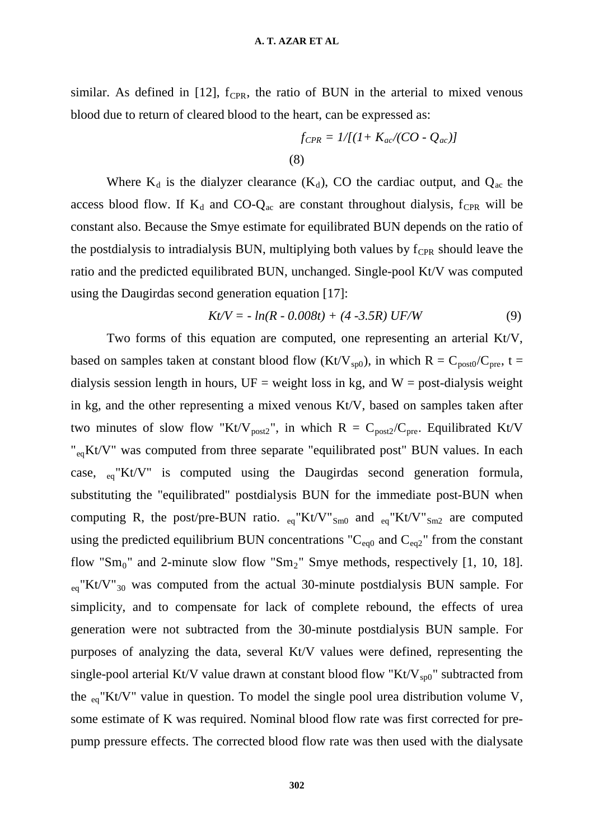similar. As defined in [12],  $f_{CPR}$ , the ratio of BUN in the arterial to mixed venous blood due to return of cleared blood to the heart, can be expressed as:

$$
f_{CPR} = 1/[(1+K_{ac}/(CO - Q_{ac})]
$$
\n(8)

Where  $K_d$  is the dialyzer clearance  $(K_d)$ , CO the cardiac output, and  $Q_{ac}$  the access blood flow. If  $K_d$  and CO- $Q_{ac}$  are constant throughout dialysis,  $f_{CPR}$  will be constant also. Because the Smye estimate for equilibrated BUN depends on the ratio of the postdialysis to intradialysis BUN, multiplying both values by  $f_{CPR}$  should leave the ratio and the predicted equilibrated BUN, unchanged. Single-pool Kt/V was computed using the Daugirdas second generation equation [17]:

$$
Kt/V = -\ln(R - 0.008t) + (4 - 3.5R) \text{ UF/W} \tag{9}
$$

Two forms of this equation are computed, one representing an arterial Kt/V, based on samples taken at constant blood flow (Kt/V<sub>sp0</sub>), in which R = C<sub>post0</sub>/C<sub>pre</sub>, t = dialysis session length in hours,  $UF = weight loss$  in kg, and  $W = post-dialysis weight$ in kg, and the other representing a mixed venous Kt/V, based on samples taken after two minutes of slow flow "Kt/V<sub>post2</sub>", in which R = C<sub>post2</sub>/C<sub>pre</sub>. Equilibrated Kt/V "<sub>eq</sub>Kt/V" was computed from three separate "equilibrated post" BUN values. In each case, eq"Kt/V" is computed using the Daugirdas second generation formula, substituting the "equilibrated" postdialysis BUN for the immediate post-BUN when computing R, the post/pre-BUN ratio.  $_{eq}$ "Kt/V"<sub>Sm0</sub> and  $_{eq}$ "Kt/V"<sub>Sm2</sub> are computed using the predicted equilibrium BUN concentrations " $C_{eq0}$  and  $C_{eq2}$ " from the constant flow "Sm<sub>0</sub>" and 2-minute slow flow "Sm<sub>2</sub>" Smye methods, respectively [1, 10, 18].  $_{eq}$ "Kt/V"<sub>30</sub> was computed from the actual 30-minute postdialysis BUN sample. For simplicity, and to compensate for lack of complete rebound, the effects of urea generation were not subtracted from the 30-minute postdialysis BUN sample. For purposes of analyzing the data, several Kt/V values were defined, representing the single-pool arterial Kt/V value drawn at constant blood flow "Kt/V<sub>sp0</sub>" subtracted from the eq"Kt/V" value in question. To model the single pool urea distribution volume V, some estimate of K was required. Nominal blood flow rate was first corrected for prepump pressure effects. The corrected blood flow rate was then used with the dialysate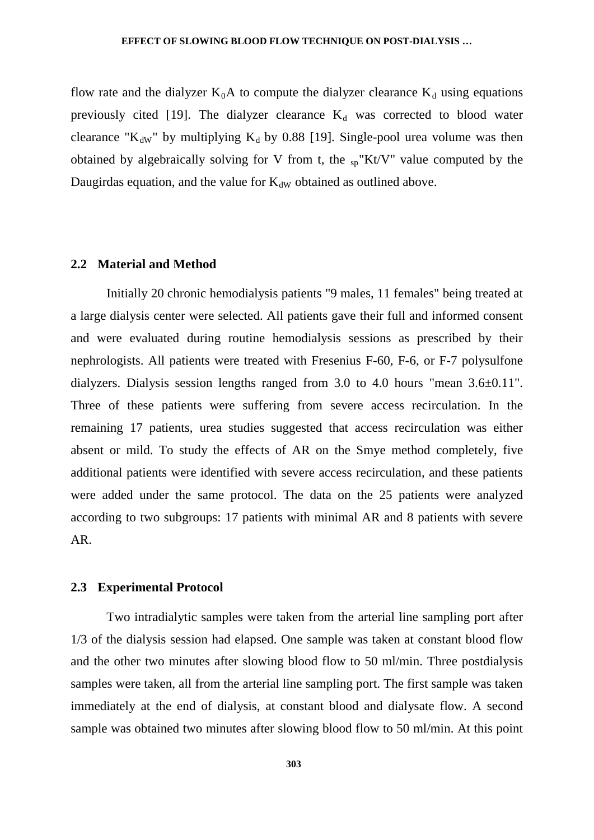flow rate and the dialyzer  $K_0A$  to compute the dialyzer clearance  $K_d$  using equations previously cited [19]. The dialyzer clearance  $K_d$  was corrected to blood water clearance "K<sub>dW</sub>" by multiplying K<sub>d</sub> by 0.88 [19]. Single-pool urea volume was then obtained by algebraically solving for V from t, the  $_{sp}$ "Kt/V" value computed by the Daugirdas equation, and the value for  $K_{dW}$  obtained as outlined above.

## **2.2 Material and Method**

Initially 20 chronic hemodialysis patients "9 males, 11 females" being treated at a large dialysis center were selected. All patients gave their full and informed consent and were evaluated during routine hemodialysis sessions as prescribed by their nephrologists. All patients were treated with Fresenius F-60, F-6, or F-7 polysulfone dialyzers. Dialysis session lengths ranged from 3.0 to 4.0 hours "mean 3.6±0.11". Three of these patients were suffering from severe access recirculation. In the remaining 17 patients, urea studies suggested that access recirculation was either absent or mild. To study the effects of AR on the Smye method completely, five additional patients were identified with severe access recirculation, and these patients were added under the same protocol. The data on the 25 patients were analyzed according to two subgroups: 17 patients with minimal AR and 8 patients with severe AR.

## **2.3 Experimental Protocol**

Two intradialytic samples were taken from the arterial line sampling port after 1/3 of the dialysis session had elapsed. One sample was taken at constant blood flow and the other two minutes after slowing blood flow to 50 ml/min. Three postdialysis samples were taken, all from the arterial line sampling port. The first sample was taken immediately at the end of dialysis, at constant blood and dialysate flow. A second sample was obtained two minutes after slowing blood flow to 50 ml/min. At this point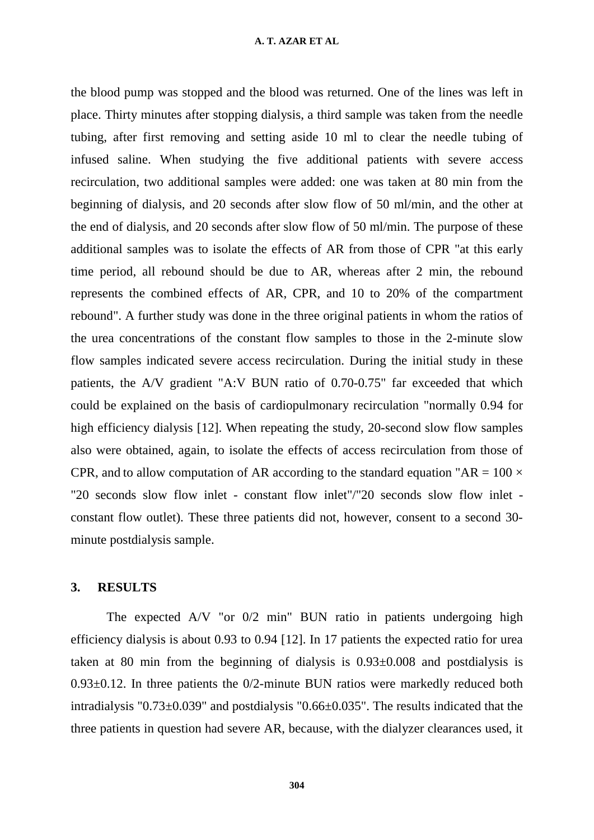### **A. T. AZAR ET AL**

the blood pump was stopped and the blood was returned. One of the lines was left in place. Thirty minutes after stopping dialysis, a third sample was taken from the needle tubing, after first removing and setting aside 10 ml to clear the needle tubing of infused saline. When studying the five additional patients with severe access recirculation, two additional samples were added: one was taken at 80 min from the beginning of dialysis, and 20 seconds after slow flow of 50 ml/min, and the other at the end of dialysis, and 20 seconds after slow flow of 50 ml/min. The purpose of these additional samples was to isolate the effects of AR from those of CPR "at this early time period, all rebound should be due to AR, whereas after 2 min, the rebound represents the combined effects of AR, CPR, and 10 to 20% of the compartment rebound". A further study was done in the three original patients in whom the ratios of the urea concentrations of the constant flow samples to those in the 2-minute slow flow samples indicated severe access recirculation. During the initial study in these patients, the A/V gradient "A:V BUN ratio of 0.70-0.75" far exceeded that which could be explained on the basis of cardiopulmonary recirculation "normally 0.94 for high efficiency dialysis [12]. When repeating the study, 20-second slow flow samples also were obtained, again, to isolate the effects of access recirculation from those of CPR, and to allow computation of AR according to the standard equation "AR =  $100 \times$ "20 seconds slow flow inlet - constant flow inlet"/"20 seconds slow flow inlet constant flow outlet). These three patients did not, however, consent to a second 30 minute postdialysis sample.

# **3. RESULTS**

The expected A/V "or 0/2 min" BUN ratio in patients undergoing high efficiency dialysis is about 0.93 to 0.94 [12]. In 17 patients the expected ratio for urea taken at 80 min from the beginning of dialysis is 0.93±0.008 and postdialysis is  $0.93\pm0.12$ . In three patients the  $0/2$ -minute BUN ratios were markedly reduced both intradialysis "0.73±0.039" and postdialysis "0.66±0.035". The results indicated that the three patients in question had severe AR, because, with the dialyzer clearances used, it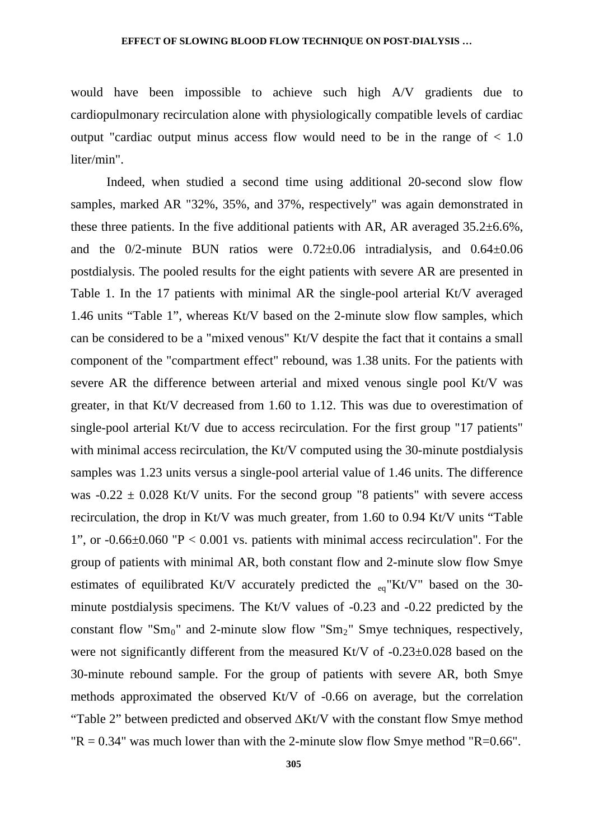would have been impossible to achieve such high A/V gradients due to cardiopulmonary recirculation alone with physiologically compatible levels of cardiac output "cardiac output minus access flow would need to be in the range of  $< 1.0$ liter/min".

Indeed, when studied a second time using additional 20-second slow flow samples, marked AR "32%, 35%, and 37%, respectively" was again demonstrated in these three patients. In the five additional patients with AR, AR averaged 35.2±6.6%, and the  $0/2$ -minute BUN ratios were  $0.72\pm0.06$  intradialysis, and  $0.64\pm0.06$ postdialysis. The pooled results for the eight patients with severe AR are presented in Table 1. In the 17 patients with minimal AR the single-pool arterial Kt/V averaged 1.46 units "Table 1", whereas Kt/V based on the 2-minute slow flow samples, which can be considered to be a "mixed venous" Kt/V despite the fact that it contains a small component of the "compartment effect" rebound, was 1.38 units. For the patients with severe AR the difference between arterial and mixed venous single pool Kt/V was greater, in that Kt/V decreased from 1.60 to 1.12. This was due to overestimation of single-pool arterial Kt/V due to access recirculation. For the first group "17 patients" with minimal access recirculation, the Kt/V computed using the 30-minute postdialysis samples was 1.23 units versus a single-pool arterial value of 1.46 units. The difference was  $-0.22 \pm 0.028$  Kt/V units. For the second group "8 patients" with severe access recirculation, the drop in Kt/V was much greater, from 1.60 to 0.94 Kt/V units "Table 1", or  $-0.66\pm0.060$  "P  $< 0.001$  vs. patients with minimal access recirculation". For the group of patients with minimal AR, both constant flow and 2-minute slow flow Smye estimates of equilibrated Kt/V accurately predicted the  $_{eq}$ "Kt/V" based on the 30minute postdialysis specimens. The Kt/V values of -0.23 and -0.22 predicted by the constant flow " $Sm_0$ " and 2-minute slow flow " $Sm_2$ " Smye techniques, respectively, were not significantly different from the measured Kt/V of  $-0.23\pm0.028$  based on the 30-minute rebound sample. For the group of patients with severe AR, both Smye methods approximated the observed Kt/V of -0.66 on average, but the correlation "Table 2" between predicted and observed ∆Kt/V with the constant flow Smye method " $R = 0.34$ " was much lower than with the 2-minute slow flow Smye method " $R=0.66$ ".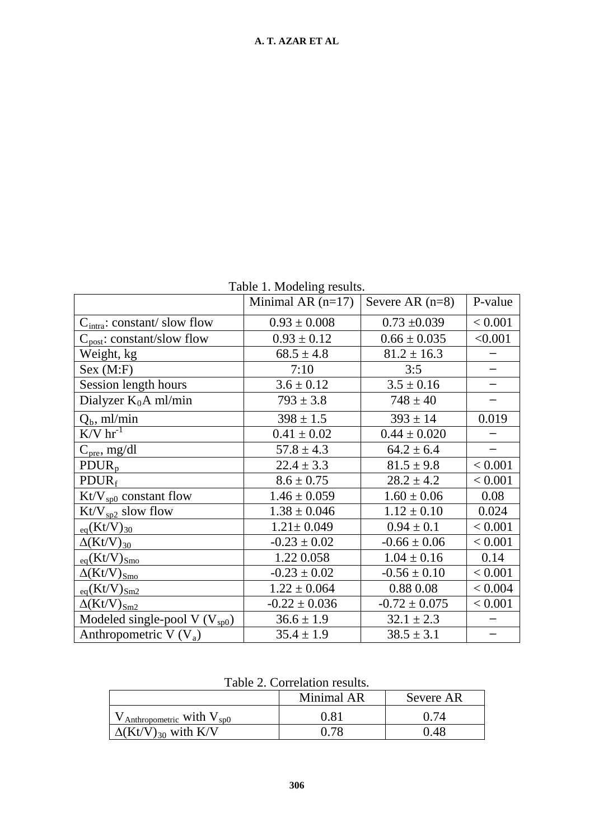Table 1. Modeling results.

| $1.110$ and $1.100$ and $1.00$ and $1.00$ and $1.00$ and $1.00$ and $1.00$ and $1.00$ and $1.00$ and $1.00$ and $1.00$ and $1.00$ and $1.00$ and $1.00$ and $1.00$ and $1.00$ and $1.00$ and $1.00$ and $1.00$ and $1.00$ and |                     |                   |         |  |  |  |
|-------------------------------------------------------------------------------------------------------------------------------------------------------------------------------------------------------------------------------|---------------------|-------------------|---------|--|--|--|
|                                                                                                                                                                                                                               | Minimal AR $(n=17)$ | Severe AR $(n=8)$ | P-value |  |  |  |
| $C_{intra}$ : constant/slow flow                                                                                                                                                                                              | $0.93 \pm 0.008$    | $0.73 \pm 0.039$  | < 0.001 |  |  |  |
| $C_{\text{post}}$ : constant/slow flow                                                                                                                                                                                        | $0.93 \pm 0.12$     | $0.66 \pm 0.035$  | < 0.001 |  |  |  |
| Weight, kg                                                                                                                                                                                                                    | $68.5 \pm 4.8$      | $81.2 \pm 16.3$   |         |  |  |  |
| Sex (M: F)                                                                                                                                                                                                                    | 7:10                | 3:5               |         |  |  |  |
| Session length hours                                                                                                                                                                                                          | $3.6 \pm 0.12$      | $3.5 \pm 0.16$    |         |  |  |  |
| Dialyzer $K_0A$ ml/min                                                                                                                                                                                                        | $793 \pm 3.8$       | $748 \pm 40$      |         |  |  |  |
| $Q_b$ , ml/min                                                                                                                                                                                                                | $398 \pm 1.5$       | $393 \pm 14$      | 0.019   |  |  |  |
| $K/V$ hr <sup>-1</sup>                                                                                                                                                                                                        | $0.41 \pm 0.02$     | $0.44 \pm 0.020$  |         |  |  |  |
| $C_{pre}$ , mg/dl                                                                                                                                                                                                             | $57.8 \pm 4.3$      | $64.2 \pm 6.4$    |         |  |  |  |
| $PDUR_p$                                                                                                                                                                                                                      | $22.4 \pm 3.3$      | $81.5 \pm 9.8$    | < 0.001 |  |  |  |
| $PDUR_f$                                                                                                                                                                                                                      | $8.6 \pm 0.75$      | $28.2 \pm 4.2$    | < 0.001 |  |  |  |
| $\text{Kt/V}_{\text{sp0}}$ constant flow                                                                                                                                                                                      | $1.46 \pm 0.059$    | $1.60 \pm 0.06$   | 0.08    |  |  |  |
| $\text{Kt/V}_{sp2}$ slow flow                                                                                                                                                                                                 | $1.38 \pm 0.046$    | $1.12 \pm 0.10$   | 0.024   |  |  |  |
| $_{eq}$ (Kt/V) <sub>30</sub>                                                                                                                                                                                                  | $1.21 \pm 0.049$    | $0.94 \pm 0.1$    | < 0.001 |  |  |  |
| $\Delta (Kt/V)_{30}$                                                                                                                                                                                                          | $-0.23 \pm 0.02$    | $-0.66 \pm 0.06$  | < 0.001 |  |  |  |
| $_{eq}(Kt/V)_{Smo}$                                                                                                                                                                                                           | 1.22 0.058          | $1.04 \pm 0.16$   | 0.14    |  |  |  |
| $\Delta (Kt/V)_{Smo}$                                                                                                                                                                                                         | $-0.23 \pm 0.02$    | $-0.56 \pm 0.10$  | < 0.001 |  |  |  |
| $_{eq}(Kt/V)_{Sm2}$                                                                                                                                                                                                           | $1.22 \pm 0.064$    | 0.88 0.08         | < 0.004 |  |  |  |
| $\Delta (Kt/V)_{Sm2}$                                                                                                                                                                                                         | $-0.22 \pm 0.036$   | $-0.72 \pm 0.075$ | < 0.001 |  |  |  |
| Modeled single-pool V $(V_{sp0})$                                                                                                                                                                                             | $36.6 \pm 1.9$      | $32.1 \pm 2.3$    |         |  |  |  |
| Anthropometric V $(V_a)$                                                                                                                                                                                                      | $35.4 \pm 1.9$      | $38.5 \pm 3.1$    |         |  |  |  |

| Table 2. Correlation results. |
|-------------------------------|
|                               |
|                               |
|                               |
|                               |

|                                                   | Minimal AR | Severe AR |
|---------------------------------------------------|------------|-----------|
| $V_{\text{Anthropometric}}$ with $V_{\text{sp0}}$ | $\rm 0.81$ |           |
| $\Delta (Kt/V)_{30}$ with K/V                     | በ 78       | 0.48      |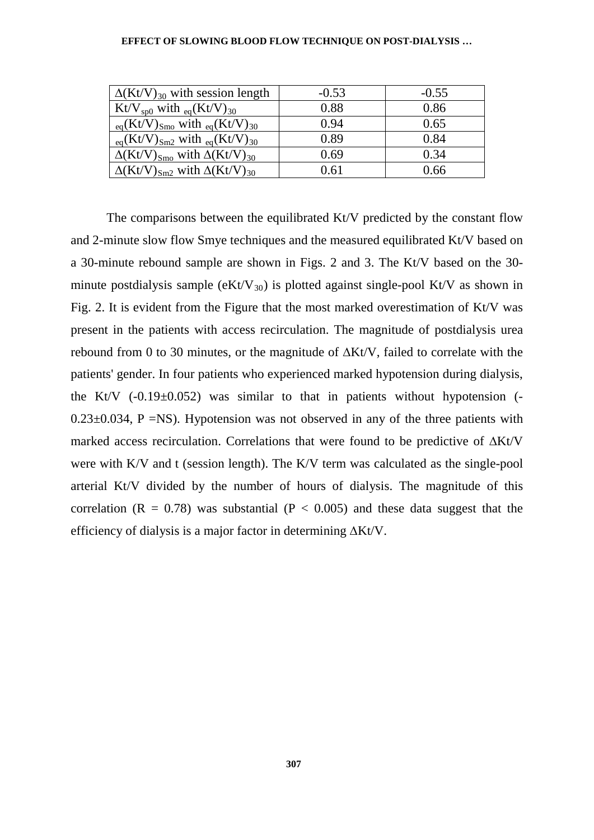| $-0.53$ | $-0.55$ |
|---------|---------|
| 0.88    | 0.86    |
| 0.94    | 0.65    |
| 0.89    | 0.84    |
| 0.69    | 0.34    |
| 0.61    | 0.66    |
|         |         |

The comparisons between the equilibrated Kt/V predicted by the constant flow and 2-minute slow flow Smye techniques and the measured equilibrated Kt/V based on a 30-minute rebound sample are shown in Figs. 2 and 3. The Kt/V based on the 30 minute postdialysis sample ( $eKt/V_{30}$ ) is plotted against single-pool Kt/V as shown in Fig. 2. It is evident from the Figure that the most marked overestimation of Kt/V was present in the patients with access recirculation. The magnitude of postdialysis urea rebound from 0 to 30 minutes, or the magnitude of ∆Kt/V, failed to correlate with the patients' gender. In four patients who experienced marked hypotension during dialysis, the Kt/V  $(-0.19\pm0.052)$  was similar to that in patients without hypotension  $(-1.19\pm0.052)$  $0.23\pm0.034$ , P =NS). Hypotension was not observed in any of the three patients with marked access recirculation. Correlations that were found to be predictive of ∆Kt/V were with K/V and t (session length). The K/V term was calculated as the single-pool arterial Kt/V divided by the number of hours of dialysis. The magnitude of this correlation ( $R = 0.78$ ) was substantial ( $P < 0.005$ ) and these data suggest that the efficiency of dialysis is a major factor in determining ∆Kt/V.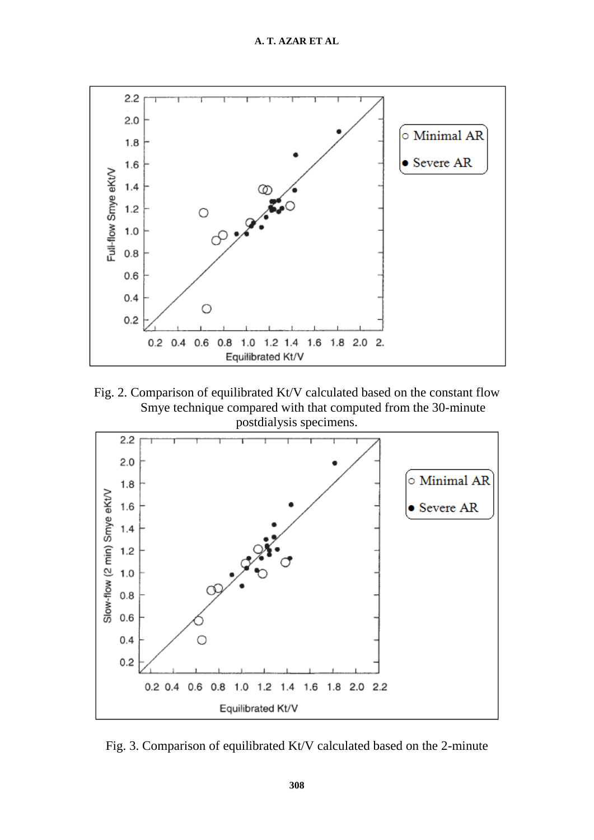

Fig. 2. Comparison of equilibrated Kt/V calculated based on the constant flow Smye technique compared with that computed from the 30-minute postdialysis specimens.



Fig. 3. Comparison of equilibrated Kt/V calculated based on the 2-minute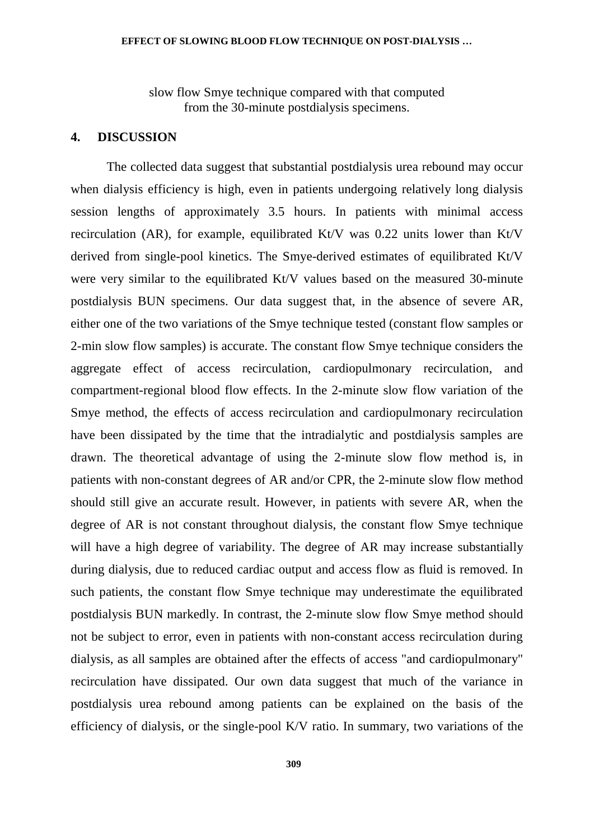slow flow Smye technique compared with that computed from the 30-minute postdialysis specimens.

## **4. DISCUSSION**

The collected data suggest that substantial postdialysis urea rebound may occur when dialysis efficiency is high, even in patients undergoing relatively long dialysis session lengths of approximately 3.5 hours. In patients with minimal access recirculation (AR), for example, equilibrated Kt/V was 0.22 units lower than Kt/V derived from single-pool kinetics. The Smye-derived estimates of equilibrated Kt/V were very similar to the equilibrated Kt/V values based on the measured 30-minute postdialysis BUN specimens. Our data suggest that, in the absence of severe AR, either one of the two variations of the Smye technique tested (constant flow samples or 2-min slow flow samples) is accurate. The constant flow Smye technique considers the aggregate effect of access recirculation, cardiopulmonary recirculation, and compartment-regional blood flow effects. In the 2-minute slow flow variation of the Smye method, the effects of access recirculation and cardiopulmonary recirculation have been dissipated by the time that the intradialytic and postdialysis samples are drawn. The theoretical advantage of using the 2-minute slow flow method is, in patients with non-constant degrees of AR and/or CPR, the 2-minute slow flow method should still give an accurate result. However, in patients with severe AR, when the degree of AR is not constant throughout dialysis, the constant flow Smye technique will have a high degree of variability. The degree of AR may increase substantially during dialysis, due to reduced cardiac output and access flow as fluid is removed. In such patients, the constant flow Smye technique may underestimate the equilibrated postdialysis BUN markedly. In contrast, the 2-minute slow flow Smye method should not be subject to error, even in patients with non-constant access recirculation during dialysis, as all samples are obtained after the effects of access "and cardiopulmonary" recirculation have dissipated. Our own data suggest that much of the variance in postdialysis urea rebound among patients can be explained on the basis of the efficiency of dialysis, or the single-pool K/V ratio. In summary, two variations of the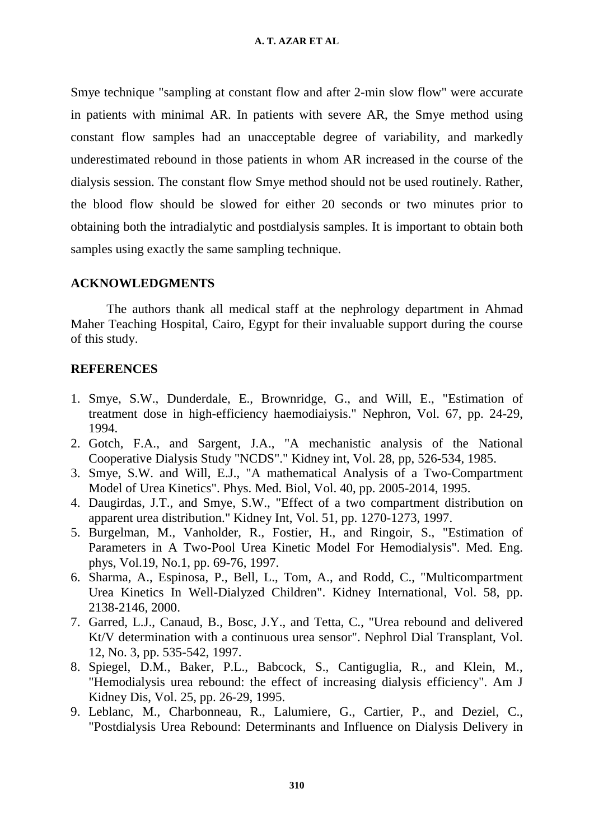Smye technique "sampling at constant flow and after 2-min slow flow" were accurate in patients with minimal AR. In patients with severe AR, the Smye method using constant flow samples had an unacceptable degree of variability, and markedly underestimated rebound in those patients in whom AR increased in the course of the dialysis session. The constant flow Smye method should not be used routinely. Rather, the blood flow should be slowed for either 20 seconds or two minutes prior to obtaining both the intradialytic and postdialysis samples. It is important to obtain both samples using exactly the same sampling technique.

# **ACKNOWLEDGMENTS**

The authors thank all medical staff at the nephrology department in Ahmad Maher Teaching Hospital, Cairo, Egypt for their invaluable support during the course of this study.

# **REFERENCES**

- 1. Smye, S.W., Dunderdale, E., Brownridge, G., and Will, E., "Estimation of treatment dose in high-efficiency haemodiaiysis." Nephron, Vol. 67, pp. 24-29, 1994.
- 2. Gotch, F.A., and Sargent, J.A., "A mechanistic analysis of the National Cooperative Dialysis Study "NCDS"." Kidney int, Vol. 28, pp, 526-534, 1985.
- 3. Smye, S.W. and Will, E.J., "A mathematical Analysis of a Two-Compartment Model of Urea Kinetics". Phys. Med. Biol, Vol. 40, pp. 2005-2014, 1995.
- 4. Daugirdas, J.T., and Smye, S.W., "Effect of a two compartment distribution on apparent urea distribution." Kidney Int, Vol. 51, pp. 1270-1273, 1997.
- 5. Burgelman, M., Vanholder, R., Fostier, H., and Ringoir, S., "Estimation of Parameters in A Two-Pool Urea Kinetic Model For Hemodialysis". Med. Eng. phys, Vol.19, No.1, pp. 69-76, 1997.
- 6. Sharma, A., Espinosa, P., Bell, L., Tom, A., and Rodd, C., "Multicompartment Urea Kinetics In Well-Dialyzed Children". Kidney International, Vol. 58, pp. 2138-2146, 2000.
- 7. Garred, L.J., Canaud, B., Bosc, J.Y., and Tetta, C., "Urea rebound and delivered Kt/V determination with a continuous urea sensor". Nephrol Dial Transplant, Vol. 12, No. 3, pp. 535-542, 1997.
- 8. Spiegel, D.M., Baker, P.L., Babcock, S., Cantiguglia, R., and Klein, M., "Hemodialysis urea rebound: the effect of increasing dialysis efficiency". Am J Kidney Dis, Vol. 25, pp. 26-29, 1995.
- 9. Leblanc, M., Charbonneau, R., Lalumiere, G., Cartier, P., and Deziel, C., "Postdialysis Urea Rebound: Determinants and Influence on Dialysis Delivery in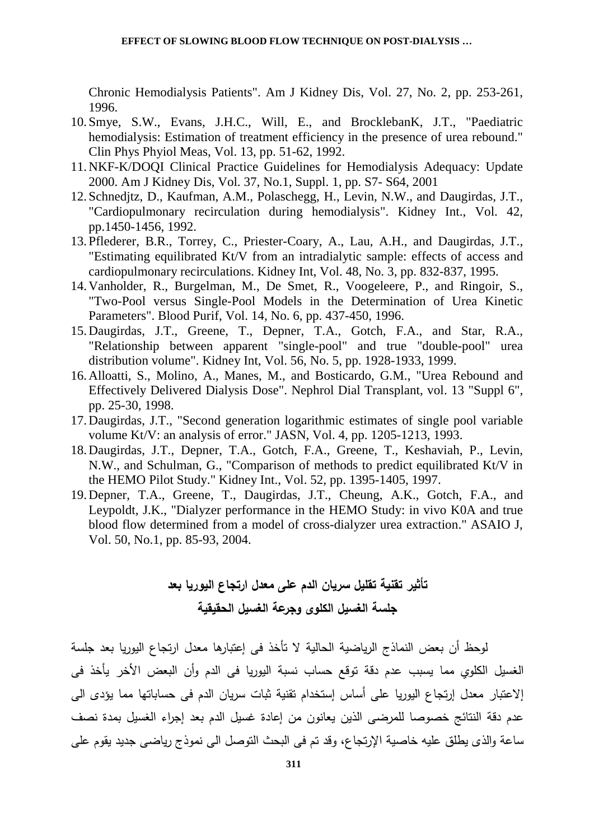Chronic Hemodialysis Patients". Am J Kidney Dis, Vol. 27, No. 2, pp. 253-261, 1996.

- 10. Smye, S.W., Evans, J.H.C., Will, E., and BrocklebanK, J.T., "Paediatric hemodialysis: Estimation of treatment efficiency in the presence of urea rebound." Clin Phys Phyiol Meas, Vol. 13, pp. 51-62, 1992.
- 11.NKF-K/DOQI Clinical Practice Guidelines for Hemodialysis Adequacy: Update 2000. Am J Kidney Dis, Vol. 37, No.1, Suppl. 1, pp. S7- S64, 2001
- 12. Schnedjtz, D., Kaufman, A.M., Polaschegg, H., Levin, N.W., and Daugirdas, J.T., "Cardiopulmonary recirculation during hemodialysis". Kidney Int., Vol. 42, pp.1450-1456, 1992.
- 13.Pflederer, B.R., Torrey, C., Priester-Coary, A., Lau, A.H., and Daugirdas, J.T., "Estimating equilibrated Kt/V from an intradialytic sample: effects of access and cardiopulmonary recirculations. Kidney Int, Vol. 48, No. 3, pp. 832-837, 1995.
- 14.Vanholder, R., Burgelman, M., De Smet, R., Voogeleere, P., and Ringoir, S., "Two-Pool versus Single-Pool Models in the Determination of Urea Kinetic Parameters". Blood Purif, Vol. 14, No. 6, pp. 437-450, 1996.
- 15.Daugirdas, J.T., Greene, T., Depner, T.A., Gotch, F.A., and Star, R.A., "Relationship between apparent "single-pool" and true "double-pool" urea distribution volume". Kidney Int, Vol. 56, No. 5, pp. 1928-1933, 1999.
- 16.Alloatti, S., Molino, A., Manes, M., and Bosticardo, G.M., "Urea Rebound and Effectively Delivered Dialysis Dose". Nephrol Dial Transplant, vol. 13 "Suppl 6", pp. 25-30, 1998.
- 17.Daugirdas, J.T., "Second generation logarithmic estimates of single pool variable volume Kt/V: an analysis of error." JASN, Vol. 4, pp. 1205-1213, 1993.
- 18.Daugirdas, J.T., Depner, T.A., Gotch, F.A., Greene, T., Keshaviah, P., Levin, N.W., and Schulman, G., "Comparison of methods to predict equilibrated Kt/V in the HEMO Pilot Study." Kidney Int., Vol. 52, pp. 1395-1405, 1997.
- 19.Depner, T.A., Greene, T., Daugirdas, J.T., Cheung, A.K., Gotch, F.A., and Leypoldt, J.K., "Dialyzer performance in the HEMO Study: in vivo K0A and true blood flow determined from a model of cross-dialyzer urea extraction." ASAIO J, Vol. 50, No.1, pp. 85-93, 2004.

# **تأثیر تقنیة تقلیل سریان الدم على معدل ارتجاع الیوریا بعد جلسة الغسیل الكلو ى وجرعة الغسیل الحقیقیة**

لوحظ أن بعض النماذج الریاضیة الحالیة لا تأخذ فى إعتبارها معدل ارتجاع الیوریا بعد جلسة الغسیل الكلوي مما یسبب عدم دقة توقع حساب نسبة الیوریا فى الدم وأن البعض الأخر یأخذ فى إلاعتبار معدل إرتجاع الیوریا على أساس إستخدام تقنیة ثبات سریان الدم فى حساباتها مما یؤدى الى عدم دقة النتائج خصوصا للمرضى الذین یعانون من إعادة غسیل الدم بعد إجراء الغسیل بمدة نصف ساعة والذى یطلق علیه خاصیة الإرتجاع، وقد تم فى البحث التوصل الى نموذج ریاضى جدید یقوم على